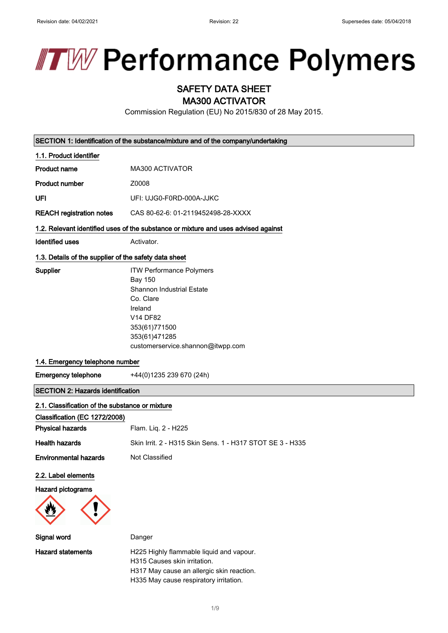

# SAFETY DATA SHEET

MA300 ACTIVATOR

Commission Regulation (EU) No 2015/830 of 28 May 2015.

SECTION 1: Identification of the substance/mixture and of the company/undertaking

| 1.1. Product identifier                               |                                                                                                                                                                                                         |
|-------------------------------------------------------|---------------------------------------------------------------------------------------------------------------------------------------------------------------------------------------------------------|
| <b>Product name</b>                                   | MA300 ACTIVATOR                                                                                                                                                                                         |
| <b>Product number</b>                                 | Z0008                                                                                                                                                                                                   |
| UFI                                                   | UFI: UJG0-F0RD-000A-JJKC                                                                                                                                                                                |
| <b>REACH registration notes</b>                       | CAS 80-62-6: 01-2119452498-28-XXXX                                                                                                                                                                      |
|                                                       | 1.2. Relevant identified uses of the substance or mixture and uses advised against                                                                                                                      |
| <b>Identified uses</b>                                | Activator.                                                                                                                                                                                              |
| 1.3. Details of the supplier of the safety data sheet |                                                                                                                                                                                                         |
| Supplier                                              | <b>ITW Performance Polymers</b><br><b>Bay 150</b><br><b>Shannon Industrial Estate</b><br>Co. Clare<br>Ireland<br><b>V14 DF82</b><br>353(61)771500<br>353(61)471285<br>customerservice.shannon@itwpp.com |
| 1.4. Emergency telephone number                       |                                                                                                                                                                                                         |
| <b>Emergency telephone</b>                            | +44(0)1235 239 670 (24h)                                                                                                                                                                                |
| <b>SECTION 2: Hazards identification</b>              |                                                                                                                                                                                                         |
| 2.1. Classification of the substance or mixture       |                                                                                                                                                                                                         |
| Classification (EC 1272/2008)                         |                                                                                                                                                                                                         |
| <b>Physical hazards</b>                               | Flam. Liq. 2 - H225                                                                                                                                                                                     |
| <b>Health hazards</b>                                 | Skin Irrit. 2 - H315 Skin Sens. 1 - H317 STOT SE 3 - H335                                                                                                                                               |
| <b>Environmental hazards</b>                          | Not Classified                                                                                                                                                                                          |
| 2.2. Label elements                                   |                                                                                                                                                                                                         |
| Hazard pictograms                                     |                                                                                                                                                                                                         |
|                                                       |                                                                                                                                                                                                         |
| Signal word                                           | Danger                                                                                                                                                                                                  |
| <b>Hazard statements</b>                              | H225 Highly flammable liquid and vapour.<br>H315 Causes skin irritation.<br>H317 May cause an allergic skin reaction.<br>H335 May cause respiratory irritation.                                         |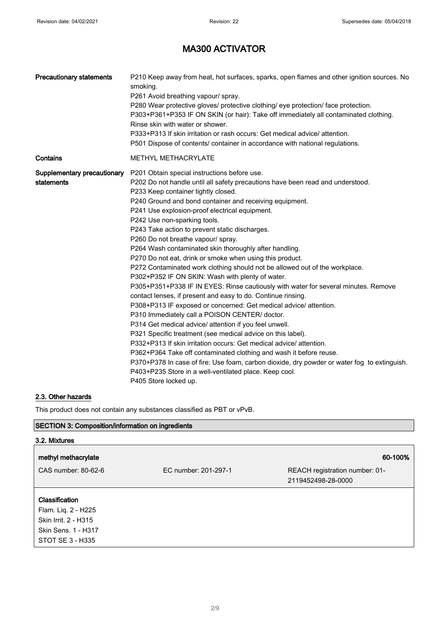| <b>Precautionary statements</b> | P210 Keep away from heat, hot surfaces, sparks, open flames and other ignition sources. No<br>smoking.<br>P261 Avoid breathing vapour/ spray.<br>P280 Wear protective gloves/ protective clothing/ eye protection/ face protection.<br>P303+P361+P353 IF ON SKIN (or hair): Take off immediately all contaminated clothing.<br>Rinse skin with water or shower.<br>P333+P313 If skin irritation or rash occurs: Get medical advice/ attention. |
|---------------------------------|------------------------------------------------------------------------------------------------------------------------------------------------------------------------------------------------------------------------------------------------------------------------------------------------------------------------------------------------------------------------------------------------------------------------------------------------|
|                                 | P501 Dispose of contents/ container in accordance with national regulations.                                                                                                                                                                                                                                                                                                                                                                   |
| Contains                        | <b>METHYL METHACRYLATE</b>                                                                                                                                                                                                                                                                                                                                                                                                                     |
| Supplementary precautionary     | P201 Obtain special instructions before use.                                                                                                                                                                                                                                                                                                                                                                                                   |
| statements                      | P202 Do not handle until all safety precautions have been read and understood.                                                                                                                                                                                                                                                                                                                                                                 |
|                                 | P233 Keep container tightly closed.                                                                                                                                                                                                                                                                                                                                                                                                            |
|                                 | P240 Ground and bond container and receiving equipment.                                                                                                                                                                                                                                                                                                                                                                                        |
|                                 | P241 Use explosion-proof electrical equipment.                                                                                                                                                                                                                                                                                                                                                                                                 |
|                                 | P242 Use non-sparking tools.                                                                                                                                                                                                                                                                                                                                                                                                                   |
|                                 | P243 Take action to prevent static discharges.                                                                                                                                                                                                                                                                                                                                                                                                 |
|                                 | P260 Do not breathe vapour/ spray.                                                                                                                                                                                                                                                                                                                                                                                                             |
|                                 | P264 Wash contaminated skin thoroughly after handling.                                                                                                                                                                                                                                                                                                                                                                                         |
|                                 | P270 Do not eat, drink or smoke when using this product.                                                                                                                                                                                                                                                                                                                                                                                       |
|                                 | P272 Contaminated work clothing should not be allowed out of the workplace.                                                                                                                                                                                                                                                                                                                                                                    |
|                                 | P302+P352 IF ON SKIN: Wash with plenty of water.                                                                                                                                                                                                                                                                                                                                                                                               |
|                                 | P305+P351+P338 IF IN EYES: Rinse cautiously with water for several minutes. Remove                                                                                                                                                                                                                                                                                                                                                             |
|                                 | contact lenses, if present and easy to do. Continue rinsing.                                                                                                                                                                                                                                                                                                                                                                                   |
|                                 | P308+P313 IF exposed or concerned: Get medical advice/attention.                                                                                                                                                                                                                                                                                                                                                                               |
|                                 | P310 Immediately call a POISON CENTER/ doctor.                                                                                                                                                                                                                                                                                                                                                                                                 |
|                                 | P314 Get medical advice/ attention if you feel unwell.                                                                                                                                                                                                                                                                                                                                                                                         |
|                                 | P321 Specific treatment (see medical advice on this label).                                                                                                                                                                                                                                                                                                                                                                                    |
|                                 | P332+P313 If skin irritation occurs: Get medical advice/ attention.                                                                                                                                                                                                                                                                                                                                                                            |
|                                 | P362+P364 Take off contaminated clothing and wash it before reuse.                                                                                                                                                                                                                                                                                                                                                                             |
|                                 | P370+P378 In case of fire: Use foam, carbon dioxide, dry powder or water fog to extinguish.                                                                                                                                                                                                                                                                                                                                                    |
|                                 | P403+P235 Store in a well-ventilated place. Keep cool.                                                                                                                                                                                                                                                                                                                                                                                         |
|                                 | P405 Store locked up.                                                                                                                                                                                                                                                                                                                                                                                                                          |

### 2.3. Other hazards

This product does not contain any substances classified as PBT or vPvB.

### SECTION 3: Composition/information on ingredients

| 3.2. Mixtures                                                                                                   |                      |                                |
|-----------------------------------------------------------------------------------------------------------------|----------------------|--------------------------------|
| methyl methacrylate                                                                                             |                      | 60-100%                        |
| CAS number: 80-62-6                                                                                             | EC number: 201-297-1 | REACH registration number: 01- |
|                                                                                                                 |                      | 2119452498-28-0000             |
| <b>Classification</b><br>Flam. Liq. 2 - H225<br>Skin Irrit. 2 - H315<br>Skin Sens. 1 - H317<br>STOT SE 3 - H335 |                      |                                |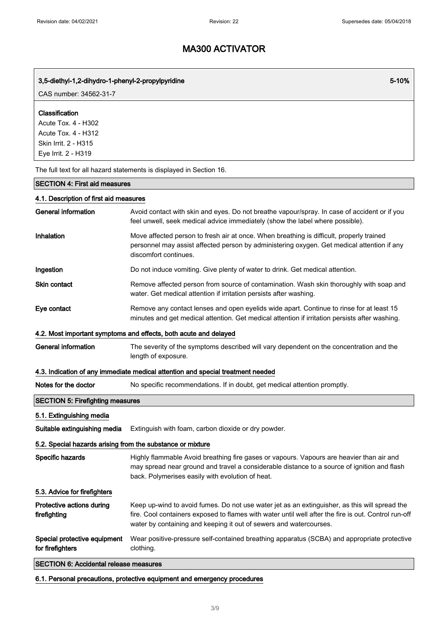### 3,5-diethyl-1,2-dihydro-1-phenyl-2-propylpyridine 5-10% and the state of the state of the state  $5$ -10%

CAS number: 34562-31-7

#### Classification

Acute Tox. 4 - H302 Acute Tox. 4 - H312 Skin Irrit. 2 - H315 Eye Irrit. 2 - H319

The full text for all hazard statements is displayed in Section 16.

### SECTION 4: First aid measures

#### 4.1. Description of first aid measures

| <b>General information</b>                                 | Avoid contact with skin and eyes. Do not breathe vapour/spray. In case of accident or if you<br>feel unwell, seek medical advice immediately (show the label where possible).                                                                                               |
|------------------------------------------------------------|-----------------------------------------------------------------------------------------------------------------------------------------------------------------------------------------------------------------------------------------------------------------------------|
| Inhalation                                                 | Move affected person to fresh air at once. When breathing is difficult, properly trained<br>personnel may assist affected person by administering oxygen. Get medical attention if any<br>discomfort continues.                                                             |
| Ingestion                                                  | Do not induce vomiting. Give plenty of water to drink. Get medical attention.                                                                                                                                                                                               |
| <b>Skin contact</b>                                        | Remove affected person from source of contamination. Wash skin thoroughly with soap and<br>water. Get medical attention if irritation persists after washing.                                                                                                               |
| Eye contact                                                | Remove any contact lenses and open eyelids wide apart. Continue to rinse for at least 15<br>minutes and get medical attention. Get medical attention if irritation persists after washing.                                                                                  |
|                                                            | 4.2. Most important symptoms and effects, both acute and delayed                                                                                                                                                                                                            |
| <b>General information</b>                                 | The severity of the symptoms described will vary dependent on the concentration and the<br>length of exposure.                                                                                                                                                              |
|                                                            | 4.3. Indication of any immediate medical attention and special treatment needed                                                                                                                                                                                             |
| Notes for the doctor                                       | No specific recommendations. If in doubt, get medical attention promptly.                                                                                                                                                                                                   |
| <b>SECTION 5: Firefighting measures</b>                    |                                                                                                                                                                                                                                                                             |
| 5.1. Extinguishing media                                   |                                                                                                                                                                                                                                                                             |
| Suitable extinguishing media                               | Extinguish with foam, carbon dioxide or dry powder.                                                                                                                                                                                                                         |
| 5.2. Special hazards arising from the substance or mixture |                                                                                                                                                                                                                                                                             |
| Specific hazards                                           | Highly flammable Avoid breathing fire gases or vapours. Vapours are heavier than air and<br>may spread near ground and travel a considerable distance to a source of ignition and flash<br>back. Polymerises easily with evolution of heat.                                 |
| 5.3. Advice for firefighters                               |                                                                                                                                                                                                                                                                             |
| Protective actions during<br>firefighting                  | Keep up-wind to avoid fumes. Do not use water jet as an extinguisher, as this will spread the<br>fire. Cool containers exposed to flames with water until well after the fire is out. Control run-off<br>water by containing and keeping it out of sewers and watercourses. |
| Special protective equipment<br>for firefighters           | Wear positive-pressure self-contained breathing apparatus (SCBA) and appropriate protective<br>clothing.                                                                                                                                                                    |
| <b>SECTION 6: Accidental release measures</b>              |                                                                                                                                                                                                                                                                             |

6.1. Personal precautions, protective equipment and emergency procedures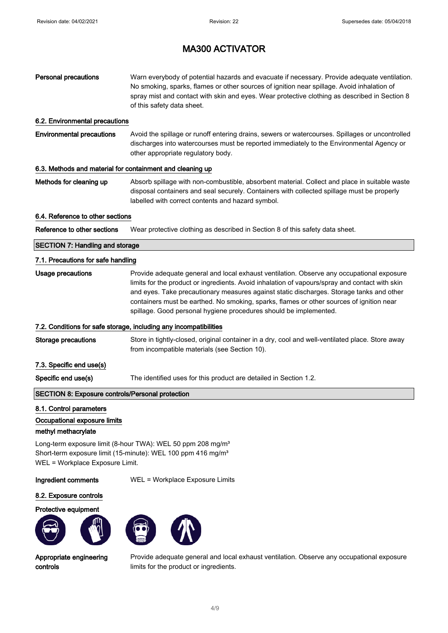| <b>Personal precautions</b>                               | Warn everybody of potential hazards and evacuate if necessary. Provide adequate ventilation.<br>No smoking, sparks, flames or other sources of ignition near spillage. Avoid inhalation of<br>spray mist and contact with skin and eyes. Wear protective clothing as described in Section 8<br>of this safety data sheet.                                                                                                                                |
|-----------------------------------------------------------|----------------------------------------------------------------------------------------------------------------------------------------------------------------------------------------------------------------------------------------------------------------------------------------------------------------------------------------------------------------------------------------------------------------------------------------------------------|
| 6.2. Environmental precautions                            |                                                                                                                                                                                                                                                                                                                                                                                                                                                          |
| <b>Environmental precautions</b>                          | Avoid the spillage or runoff entering drains, sewers or watercourses. Spillages or uncontrolled<br>discharges into watercourses must be reported immediately to the Environmental Agency or<br>other appropriate regulatory body.                                                                                                                                                                                                                        |
| 6.3. Methods and material for containment and cleaning up |                                                                                                                                                                                                                                                                                                                                                                                                                                                          |
| Methods for cleaning up                                   | Absorb spillage with non-combustible, absorbent material. Collect and place in suitable waste<br>disposal containers and seal securely. Containers with collected spillage must be properly<br>labelled with correct contents and hazard symbol.                                                                                                                                                                                                         |
| 6.4. Reference to other sections                          |                                                                                                                                                                                                                                                                                                                                                                                                                                                          |
| Reference to other sections                               | Wear protective clothing as described in Section 8 of this safety data sheet.                                                                                                                                                                                                                                                                                                                                                                            |
| <b>SECTION 7: Handling and storage</b>                    |                                                                                                                                                                                                                                                                                                                                                                                                                                                          |
| 7.1. Precautions for safe handling                        |                                                                                                                                                                                                                                                                                                                                                                                                                                                          |
| <b>Usage precautions</b>                                  | Provide adequate general and local exhaust ventilation. Observe any occupational exposure<br>limits for the product or ingredients. Avoid inhalation of vapours/spray and contact with skin<br>and eyes. Take precautionary measures against static discharges. Storage tanks and other<br>containers must be earthed. No smoking, sparks, flames or other sources of ignition near<br>spillage. Good personal hygiene procedures should be implemented. |
|                                                           | 7.2. Conditions for safe storage, including any incompatibilities                                                                                                                                                                                                                                                                                                                                                                                        |
| <b>Storage precautions</b>                                | Store in tightly-closed, original container in a dry, cool and well-ventilated place. Store away<br>from incompatible materials (see Section 10).                                                                                                                                                                                                                                                                                                        |
| 7.3. Specific end use(s)                                  |                                                                                                                                                                                                                                                                                                                                                                                                                                                          |
| Specific end use(s)                                       | The identified uses for this product are detailed in Section 1.2.                                                                                                                                                                                                                                                                                                                                                                                        |
| SECTION 8: Exposure controls/Personal protection          |                                                                                                                                                                                                                                                                                                                                                                                                                                                          |
| 8.1. Control parameters                                   |                                                                                                                                                                                                                                                                                                                                                                                                                                                          |
| Occupational exposure limits                              |                                                                                                                                                                                                                                                                                                                                                                                                                                                          |
| methyl methacrylate                                       |                                                                                                                                                                                                                                                                                                                                                                                                                                                          |
| WEL = Workplace Exposure Limit.                           | Long-term exposure limit (8-hour TWA): WEL 50 ppm 208 mg/m <sup>3</sup><br>Short-term exposure limit (15-minute): WEL 100 ppm 416 mg/m <sup>3</sup>                                                                                                                                                                                                                                                                                                      |
| Ingredient comments                                       | WEL = Workplace Exposure Limits                                                                                                                                                                                                                                                                                                                                                                                                                          |
| 8.2. Exposure controls                                    |                                                                                                                                                                                                                                                                                                                                                                                                                                                          |
| Protective equipment                                      |                                                                                                                                                                                                                                                                                                                                                                                                                                                          |
|                                                           |                                                                                                                                                                                                                                                                                                                                                                                                                                                          |

Appropriate engineering controls

Provide adequate general and local exhaust ventilation. Observe any occupational exposure limits for the product or ingredients.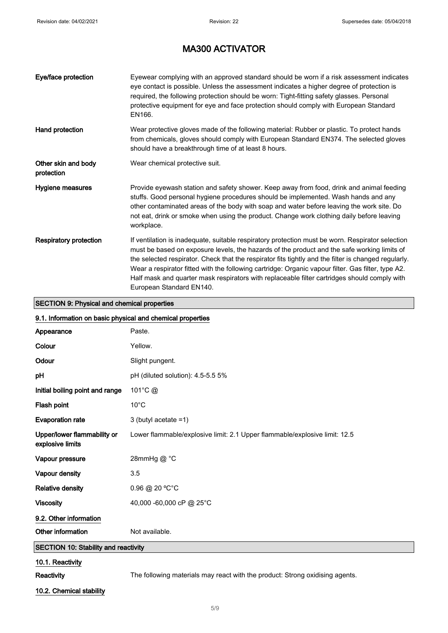| Eye/face protection               | Eyewear complying with an approved standard should be worn if a risk assessment indicates<br>eye contact is possible. Unless the assessment indicates a higher degree of protection is<br>required, the following protection should be worn: Tight-fitting safety glasses. Personal<br>protective equipment for eye and face protection should comply with European Standard<br>EN166.                                                                                                                                                    |
|-----------------------------------|-------------------------------------------------------------------------------------------------------------------------------------------------------------------------------------------------------------------------------------------------------------------------------------------------------------------------------------------------------------------------------------------------------------------------------------------------------------------------------------------------------------------------------------------|
| Hand protection                   | Wear protective gloves made of the following material: Rubber or plastic. To protect hands<br>from chemicals, gloves should comply with European Standard EN374. The selected gloves<br>should have a breakthrough time of at least 8 hours.                                                                                                                                                                                                                                                                                              |
| Other skin and body<br>protection | Wear chemical protective suit.                                                                                                                                                                                                                                                                                                                                                                                                                                                                                                            |
| Hygiene measures                  | Provide eyewash station and safety shower. Keep away from food, drink and animal feeding<br>stuffs. Good personal hygiene procedures should be implemented. Wash hands and any<br>other contaminated areas of the body with soap and water before leaving the work site. Do<br>not eat, drink or smoke when using the product. Change work clothing daily before leaving<br>workplace.                                                                                                                                                    |
| <b>Respiratory protection</b>     | If ventilation is inadequate, suitable respiratory protection must be worn. Respirator selection<br>must be based on exposure levels, the hazards of the product and the safe working limits of<br>the selected respirator. Check that the respirator fits tightly and the filter is changed regularly.<br>Wear a respirator fitted with the following cartridge: Organic vapour filter. Gas filter, type A2.<br>Half mask and quarter mask respirators with replaceable filter cartridges should comply with<br>European Standard EN140. |

## SECTION 9: Physical and chemical properties

| 9.1. Information on basic physical and chemical properties |                                                                              |
|------------------------------------------------------------|------------------------------------------------------------------------------|
| Appearance                                                 | Paste.                                                                       |
| Colour                                                     | Yellow.                                                                      |
| Odour                                                      | Slight pungent.                                                              |
| pH                                                         | pH (diluted solution): 4.5-5.5 5%                                            |
| Initial boiling point and range                            | 101°C @                                                                      |
| Flash point                                                | $10^{\circ}$ C                                                               |
| <b>Evaporation rate</b>                                    | 3 (butyl acetate $=1$ )                                                      |
| Upper/lower flammability or<br>explosive limits            | Lower flammable/explosive limit: 2.1 Upper flammable/explosive limit: 12.5   |
| Vapour pressure                                            | 28mmHg@ °C                                                                   |
| Vapour density                                             | 3.5                                                                          |
| <b>Relative density</b>                                    | 0.96 @ 20 °C°C                                                               |
| <b>Viscosity</b>                                           | 40,000 -60,000 cP @ 25°C                                                     |
| 9.2. Other information                                     |                                                                              |
| Other information                                          | Not available.                                                               |
| <b>SECTION 10: Stability and reactivity</b>                |                                                                              |
| 10.1. Reactivity                                           |                                                                              |
| Reactivity                                                 | The following materials may react with the product: Strong oxidising agents. |

10.2. Chemical stability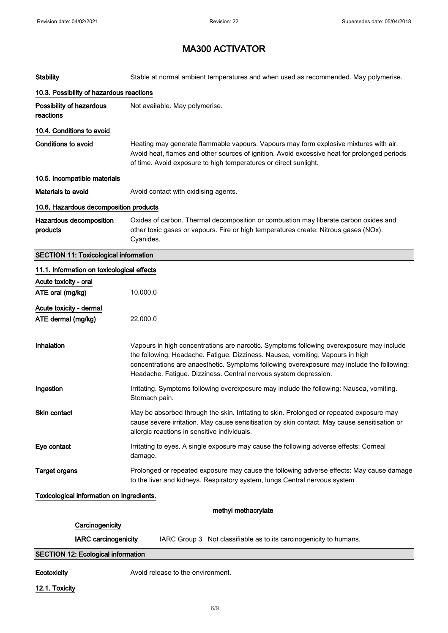| <b>Stability</b>                              | Stable at normal ambient temperatures and when used as recommended. May polymerise.                                                                                                                                                                                                                                                          |
|-----------------------------------------------|----------------------------------------------------------------------------------------------------------------------------------------------------------------------------------------------------------------------------------------------------------------------------------------------------------------------------------------------|
| 10.3. Possibility of hazardous reactions      |                                                                                                                                                                                                                                                                                                                                              |
| Possibility of hazardous<br>reactions         | Not available. May polymerise.                                                                                                                                                                                                                                                                                                               |
| 10.4. Conditions to avoid                     |                                                                                                                                                                                                                                                                                                                                              |
| <b>Conditions to avoid</b>                    | Heating may generate flammable vapours. Vapours may form explosive mixtures with air.<br>Avoid heat, flames and other sources of ignition. Avoid excessive heat for prolonged periods<br>of time. Avoid exposure to high temperatures or direct sunlight.                                                                                    |
| 10.5. Incompatible materials                  |                                                                                                                                                                                                                                                                                                                                              |
| <b>Materials to avoid</b>                     | Avoid contact with oxidising agents.                                                                                                                                                                                                                                                                                                         |
| 10.6. Hazardous decomposition products        |                                                                                                                                                                                                                                                                                                                                              |
| Hazardous decomposition<br>products           | Oxides of carbon. Thermal decomposition or combustion may liberate carbon oxides and<br>other toxic gases or vapours. Fire or high temperatures create: Nitrous gases (NOx).<br>Cyanides.                                                                                                                                                    |
| <b>SECTION 11: Toxicological information</b>  |                                                                                                                                                                                                                                                                                                                                              |
| 11.1. Information on toxicological effects    |                                                                                                                                                                                                                                                                                                                                              |
| Acute toxicity - oral                         |                                                                                                                                                                                                                                                                                                                                              |
| ATE oral (mg/kg)                              | 10,000.0                                                                                                                                                                                                                                                                                                                                     |
| Acute toxicity - dermal<br>ATE dermal (mg/kg) | 22,000.0                                                                                                                                                                                                                                                                                                                                     |
| Inhalation                                    | Vapours in high concentrations are narcotic. Symptoms following overexposure may include<br>the following: Headache. Fatigue. Dizziness. Nausea, vomiting. Vapours in high<br>concentrations are anaesthetic. Symptoms following overexposure may include the following:<br>Headache. Fatigue. Dizziness. Central nervous system depression. |
| Ingestion                                     | Irritating. Symptoms following overexposure may include the following: Nausea, vomiting.<br>Stomach pain.                                                                                                                                                                                                                                    |
| Skin contact                                  | May be absorbed through the skin. Irritating to skin. Prolonged or repeated exposure may<br>cause severe irritation. May cause sensitisation by skin contact. May cause sensitisation or<br>allergic reactions in sensitive individuals.                                                                                                     |
| Eye contact                                   | Irritating to eyes. A single exposure may cause the following adverse effects: Corneal<br>damage.                                                                                                                                                                                                                                            |
| <b>Target organs</b>                          | Prolonged or repeated exposure may cause the following adverse effects: May cause damage<br>to the liver and kidneys. Respiratory system, lungs Central nervous system                                                                                                                                                                       |
| Toxicological information on ingredients.     |                                                                                                                                                                                                                                                                                                                                              |
|                                               | methyl methacrylate                                                                                                                                                                                                                                                                                                                          |
| Carcinogenicity                               |                                                                                                                                                                                                                                                                                                                                              |
| <b>IARC</b> carcinogenicity                   | IARC Group 3 Not classifiable as to its carcinogenicity to humans.                                                                                                                                                                                                                                                                           |
| <b>SECTION 12: Ecological information</b>     |                                                                                                                                                                                                                                                                                                                                              |
| Ecotoxicity                                   | Avoid release to the environment.                                                                                                                                                                                                                                                                                                            |

12.1. Toxicity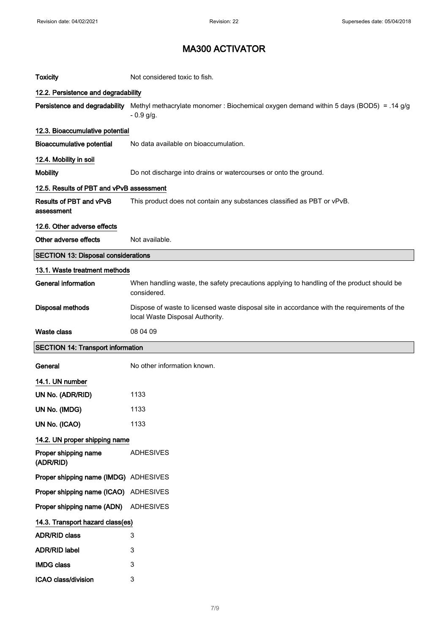| <b>Toxicity</b>                            | Not considered toxic to fish.                                                                                                  |
|--------------------------------------------|--------------------------------------------------------------------------------------------------------------------------------|
| 12.2. Persistence and degradability        |                                                                                                                                |
| Persistence and degradability              | Methyl methacrylate monomer : Biochemical oxygen demand within 5 days (BOD5) = .14 g/g<br>$-0.9$ g/g.                          |
| 12.3. Bioaccumulative potential            |                                                                                                                                |
| <b>Bioaccumulative potential</b>           | No data available on bioaccumulation.                                                                                          |
| 12.4. Mobility in soil                     |                                                                                                                                |
| <b>Mobility</b>                            | Do not discharge into drains or watercourses or onto the ground.                                                               |
| 12.5. Results of PBT and vPvB assessment   |                                                                                                                                |
| Results of PBT and vPvB<br>assessment      | This product does not contain any substances classified as PBT or vPvB.                                                        |
| 12.6. Other adverse effects                |                                                                                                                                |
| Other adverse effects                      | Not available.                                                                                                                 |
| <b>SECTION 13: Disposal considerations</b> |                                                                                                                                |
| 13.1. Waste treatment methods              |                                                                                                                                |
| <b>General information</b>                 | When handling waste, the safety precautions applying to handling of the product should be<br>considered.                       |
| Disposal methods                           | Dispose of waste to licensed waste disposal site in accordance with the requirements of the<br>local Waste Disposal Authority. |
|                                            |                                                                                                                                |
| <b>Waste class</b>                         | 08 04 09                                                                                                                       |
| <b>SECTION 14: Transport information</b>   |                                                                                                                                |
| General                                    | No other information known.                                                                                                    |
| 14.1. UN number                            |                                                                                                                                |
| UN No. (ADR/RID)                           | 1133                                                                                                                           |
| UN No. (IMDG)                              | 1133                                                                                                                           |
| UN No. (ICAO)                              | 1133                                                                                                                           |
| 14.2. UN proper shipping name              |                                                                                                                                |
| Proper shipping name<br>(ADR/RID)          | <b>ADHESIVES</b>                                                                                                               |
| Proper shipping name (IMDG) ADHESIVES      |                                                                                                                                |
| Proper shipping name (ICAO) ADHESIVES      |                                                                                                                                |
| Proper shipping name (ADN)                 | ADHESIVES                                                                                                                      |
| 14.3. Transport hazard class(es)           |                                                                                                                                |
| <b>ADR/RID class</b>                       | 3                                                                                                                              |
| <b>ADR/RID label</b>                       | 3                                                                                                                              |
| <b>IMDG class</b>                          | 3                                                                                                                              |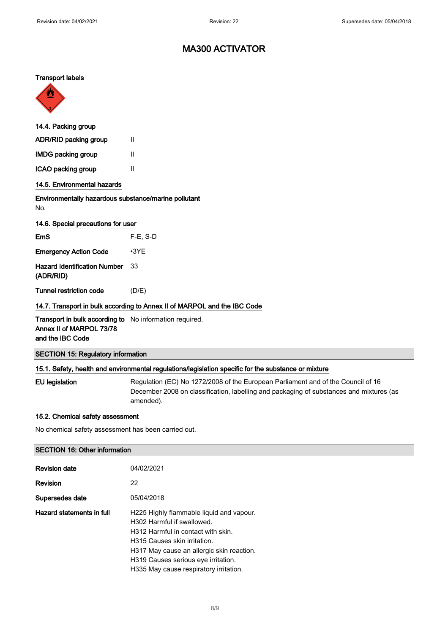#### Transport labels



| 14.4. Packing group                                                                                            |                                                                          |
|----------------------------------------------------------------------------------------------------------------|--------------------------------------------------------------------------|
| ADR/RID packing group                                                                                          | Ш                                                                        |
| <b>IMDG packing group</b>                                                                                      | Ш                                                                        |
| ICAO packing group                                                                                             | п                                                                        |
| 14.5. Environmental hazards                                                                                    |                                                                          |
| Environmentally hazardous substance/marine pollutant<br>No.                                                    |                                                                          |
| 14.6. Special precautions for user                                                                             |                                                                          |
| EmS                                                                                                            | $F-E. S-D$                                                               |
| <b>Emergency Action Code</b>                                                                                   | $\cdot$ 3YE                                                              |
| <b>Hazard Identification Number</b><br>(ADR/RID)                                                               | 33                                                                       |
| Tunnel restriction code                                                                                        | (D/E)                                                                    |
|                                                                                                                | 14.7. Transport in bulk according to Annex II of MARPOL and the IBC Code |
| <b>Transport in bulk according to</b> No information required.<br>Annex II of MARPOL 73/78<br>and the IBC Code |                                                                          |
| <b>SECTION 15: Regulatory information</b>                                                                      |                                                                          |

### 15.1. Safety, health and environmental regulations/legislation specific for the substance or mixture

EU legislation Regulation (EC) No 1272/2008 of the European Parliament and of the Council of 16 December 2008 on classification, labelling and packaging of substances and mixtures (as amended).

#### 15.2. Chemical safety assessment

No chemical safety assessment has been carried out.

#### SECTION 16: Other information

| <b>Revision date</b>      | 04/02/2021                                                                                                                                                                                                                                                                 |
|---------------------------|----------------------------------------------------------------------------------------------------------------------------------------------------------------------------------------------------------------------------------------------------------------------------|
| Revision                  | 22                                                                                                                                                                                                                                                                         |
| Supersedes date           | 05/04/2018                                                                                                                                                                                                                                                                 |
| Hazard statements in full | H225 Highly flammable liquid and vapour.<br>H302 Harmful if swallowed.<br>H312 Harmful in contact with skin.<br>H315 Causes skin irritation.<br>H317 May cause an allergic skin reaction.<br>H319 Causes serious eye irritation.<br>H335 May cause respiratory irritation. |